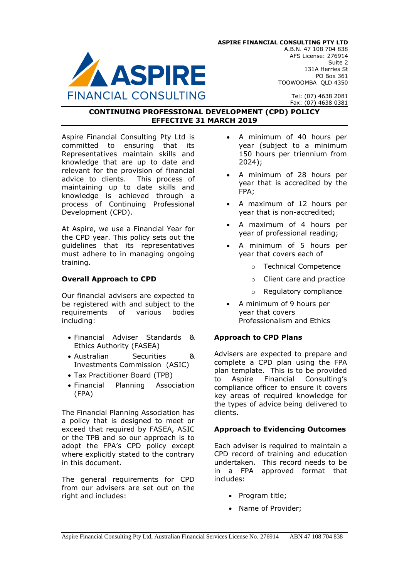

Tel: (07) 4638 2081 Fax: (07) 4638 0381

#### **CONTINUING PROFESSIONAL DEVELOPMENT (CPD) POLICY EFFECTIVE 31 MARCH 2019**

Aspire Financial Consulting Pty Ltd is committed to ensuring that its Representatives maintain skills and knowledge that are up to date and relevant for the provision of financial advice to clients. This process of maintaining up to date skills and knowledge is achieved through a process of Continuing Professional Development (CPD).

At Aspire, we use a Financial Year for the CPD year. This policy sets out the guidelines that its representatives must adhere to in managing ongoing training.

# **Overall Approach to CPD**

Our financial advisers are expected to be registered with and subject to the requirements of various bodies including:

- Financial Adviser Standards & Ethics Authority (FASEA)
- Australian Securities & Investments Commission (ASIC)
- Tax Practitioner Board (TPB)
- Financial Planning Association (FPA)

The Financial Planning Association has a policy that is designed to meet or exceed that required by FASEA, ASIC or the TPB and so our approach is to adopt the FPA's CPD policy except where explicitly stated to the contrary in this document.

The general requirements for CPD from our advisers are set out on the right and includes:

- A minimum of 40 hours per year (subject to a minimum 150 hours per triennium from 2024);
- A minimum of 28 hours per year that is accredited by the FPA;
- A maximum of 12 hours per year that is non-accredited;
- A maximum of 4 hours per year of professional reading;
- A minimum of 5 hours per year that covers each of
	- o Technical Competence
	- o Client care and practice
	- o Regulatory compliance
- A minimum of 9 hours per year that covers Professionalism and Ethics

## **Approach to CPD Plans**

Advisers are expected to prepare and complete a CPD plan using the FPA plan template. This is to be provided to Aspire Financial Consulting's compliance officer to ensure it covers key areas of required knowledge for the types of advice being delivered to clients.

## **Approach to Evidencing Outcomes**

Each adviser is required to maintain a CPD record of training and education undertaken. This record needs to be in a FPA approved format that includes:

- Program title:
- Name of Provider;